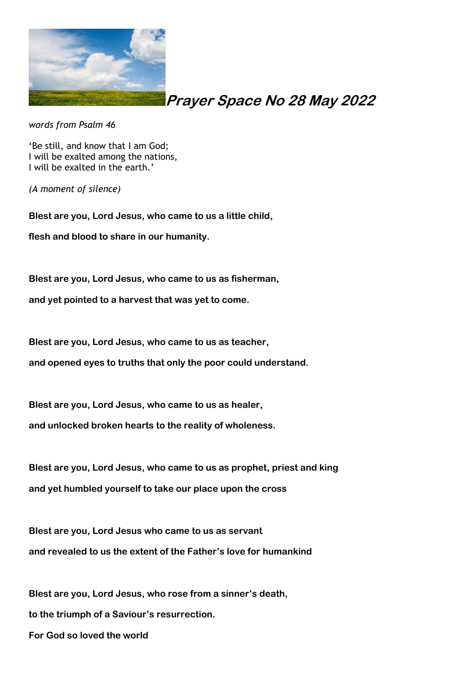

## **Prayer Space No 28 May 2022**

*words from Psalm 46*

'Be still, and know that I am God; I will be exalted among the nations, I will be exalted in the earth.'

*(A moment of silence)*

**Blest are you, Lord Jesus, who came to us a little child, flesh and blood to share in our humanity.**

**Blest are you, Lord Jesus, who came to us as fisherman,**

**and yet pointed to a harvest that was yet to come.**

**Blest are you, Lord Jesus, who came to us as teacher,**

**and opened eyes to truths that only the poor could understand.**

**Blest are you, Lord Jesus, who came to us as healer,**

**and unlocked broken hearts to the reality of wholeness.**

**Blest are you, Lord Jesus, who came to us as prophet, priest and king and yet humbled yourself to take our place upon the cross**

**Blest are you, Lord Jesus who came to us as servant and revealed to us the extent of the Father's love for humankind**

**Blest are you, Lord Jesus, who rose from a sinner's death, to the triumph of a Saviour's resurrection. For God so loved the world**